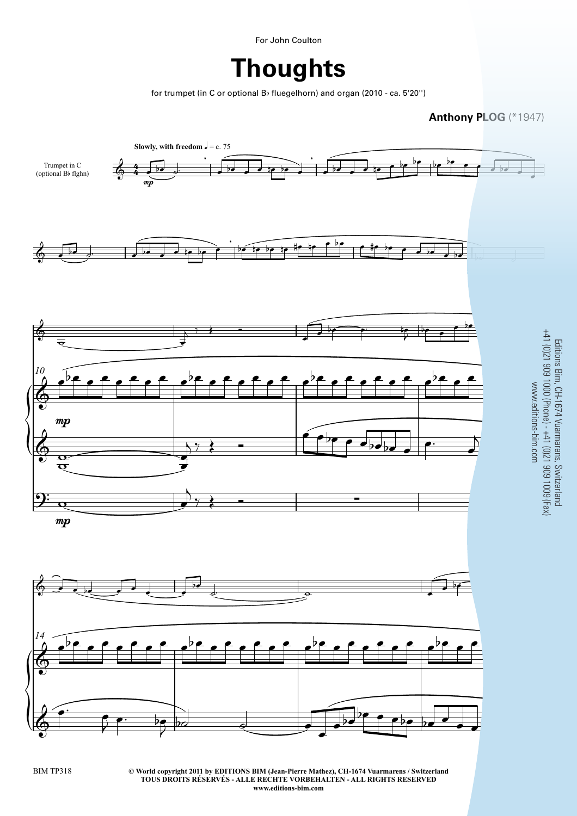For John Coulton

**Thoughts**

for trumpet (in C or optional Bb fluegelhorn) and organ (2010 - ca. 5'20'')



**© World copyright 2011 by EDITIONS BIM (Jean-Pierre Mathez), CH-1674 Vuarmarens / Switzerland** EXTEMPTED UNDER THE RECHTE VORBEHALTEN - ALL RIGHTS RESERVED<br>TOUS DROITS RÉSERVÉS - ALLE RECHTE VORBEHALTEN - ALL RIGHTS RESERVED **www.editions-bim.com**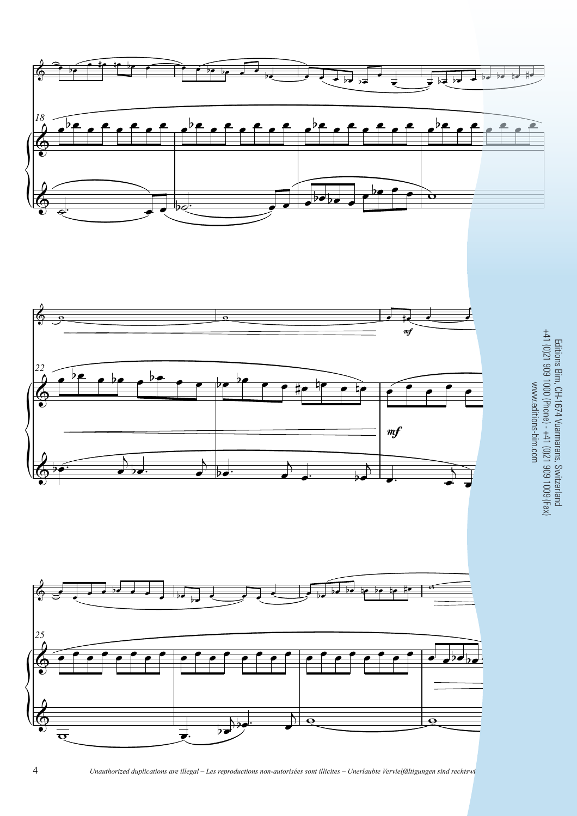





4 *Unauthorized duplications are illegal – Les reproductions non-autorisées sont illicites – Unerlaubte Vervielfältigungen sind rechtswi*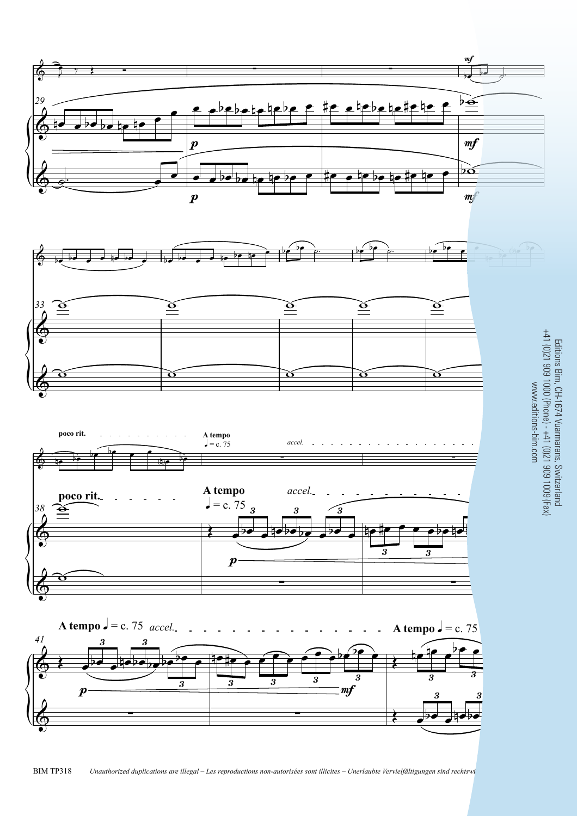